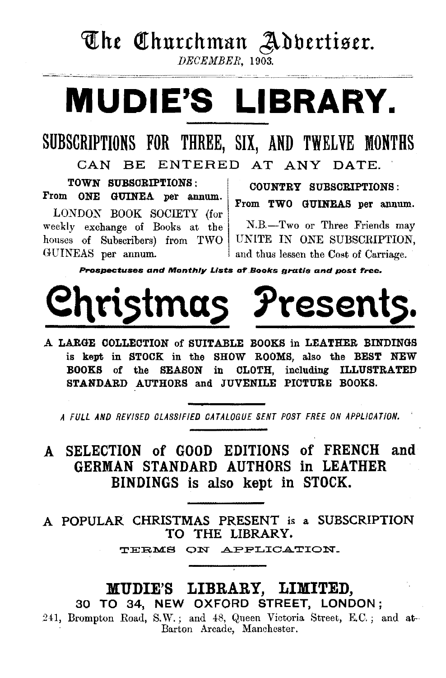# The Churchman Addertiser.

DECEMBER, 1903.

# **MUDIE'S LIBRARY.**

## SUBSCRIPTIONS FOR THREE, SIX, AND TWELVE MONTHS

CAN BE ENTERED AT ANY DATE.

TOWN SUBSCRIPTIONS: From ONE GUINEA per annum.

LONDON BOOK SOCIETY (for weekly exchange of Books at the houses of Subscribers) from TWO GUINEAS per annum.

COUNTRY SUBSCRIPTIONS: From TWO GUINEAS per annum.

N.B.-Two or Three Friends may UNITE IN ONE SUBSCRIPTION. and thus lessen the Cost of Carriage.

Prospectuses and Monthly Lists of Books gratis and post free.



A LARGE COLLECTION of SUITABLE BOOKS in LEATHER BINDINGS is kept in STOCK in the SHOW ROOMS, also the BEST NEW BOOKS of the SEASON in CLOTH, including ILLUSTRATED STANDARD AUTHORS and JUVENILE PICTURE BOOKS.

A FULL AND REVISED CLASSIFIED CATALOGUE SENT POST FREE ON APPLICATION.

## SELECTION of GOOD EDITIONS of FRENCH and A GERMAN STANDARD AUTHORS in LEATHER BINDINGS is also kept in STOCK.

A POPULAR CHRISTMAS PRESENT is a SUBSCRIPTION TO THE LIBRARY.

TERMS ON APPLICATION.

## MUDIE'S LIBRARY, LIMITED, 30 TO 34, NEW OXFORD STREET, LONDON;

241, Brompton Road, S.W.; and 48, Queen Victoria Street, E.C.; and at-Barton Arcade, Manchester.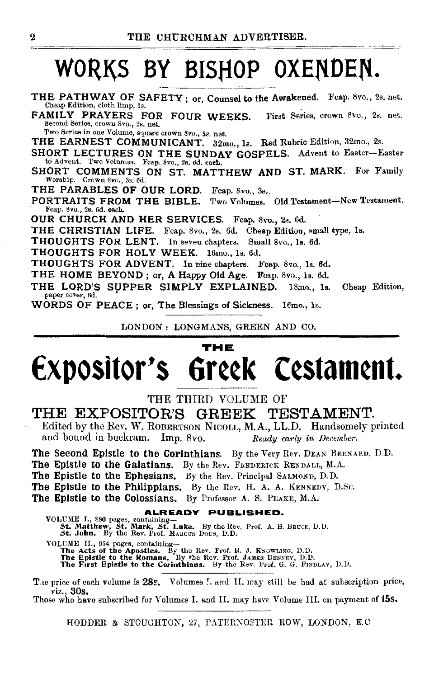# WORKS BY BISHOP OXENDEN.

THE PATHWAY OF SAFETY; or, Counsel to the Awakened. Fcap. 8vo., 2s. net. Cheap Edition, cloth limp, 1s.

FAMILY PRAYERS FOR FOUR WEEKS. First Series, crown 8vo., 2s. net. Second Series, crown Svo., 2s. net.

Two Series in one Volume, square crown Svo., 5s. net.

THE EARNEST COMMUNICANT. 32mo., 1s. Red Rubric Edition, 32mo., 2s.

SHORT LECTURES ON THE SUNDAY GOSPELS. Advent to Easter-Easter to Advent. Two Volumes. Fcap. 8vo., 2s. 6d. each.

SHORT COMMENTS ON ST. MATTHEW AND ST. MARK. For Family Worship. Crown Svo., 3s. 6d.

THE PARABLES OF OUR LORD. Feap. 8vo., 3s.

PORTRAITS FROM THE BIBLE. Two Volumes. Old Testament-New Testament. Fcap. 8vo., 2s. 6d. each.

OUR CHURCH AND HER SERVICES. Feap. 8vo., 2s. 6d.

THE CHRISTIAN LIFE. Fcap. 8vo., 2s. 6d. Cheap Edition, small type, 1s.

THOUGHTS FOR LENT. In seven chapters. Small 8vo., 1s. 6d.

THOUGHTS FOR HOLY WEEK. 16mo., 1s. 6d.

THOUGHTS FOR ADVENT. In nine chapters. Fcap. 8vo., Is. 8d.

THE HOME BEYOND; or, A Happy Old Age. Feap. 8vo., 1s. 6d.

THE LORD'S SUPPER SIMPLY EXPLAINED. 18mo., 1s. Cheap Edition, paper cover, 6d.

WORDS OF PEACE; or, The Blessings of Sickness. 16mo., 1s.

LONDON: LONGMANS, GREEN AND CO.

## THE Greek Cestament. Expositor's

## THE THIRD VOLUME OF

## THE EXPOSITOR'S GREEK TESTAMENT.

Edited by the Rev. W. ROBERTSON NICOLL, M.A., LL.D. Handsomely printed and bound in buckram. Imp. 8vo. Ready early in December.

The Second Epistle to the Corinthians. By the Very Rev. DEAN BERNARD, D.D. The Epistle to the Galatians. By the Rev. FREDERICK RENDALL, M.A.

The Epistle to the Ephesians. By the Rev. Principal SALMOND, D.D.

The Epistle to the Philippians. By the Rev. H. A. A. KENNEDY, D.Sc.

The Epistie to the Colossians. By Professor A. S. PEAKE, M.A.

## ALREADY PUBLISHED.

VOLUME II., 954 pages, containing—<br>The Acts of the Apostles. By the Rev. Frof. R. J. KNOWLING, D.D.<br>The Epistle to the Romans. By the Rev. Prof. JAMES DENNEY, D.D.<br>The First Epistle to the Corinthians. By the Rev. Prof. G.

The price of each volume is 28s. Volumes I. and II. may still be had at subscription price, viz., 30s.

Those who have subscribed for Volumes I. and II. may have Volume III. on payment of 15s.

HODDER & STOUGHTON, 27, PATERNOSTER ROW, LONDON, E.C.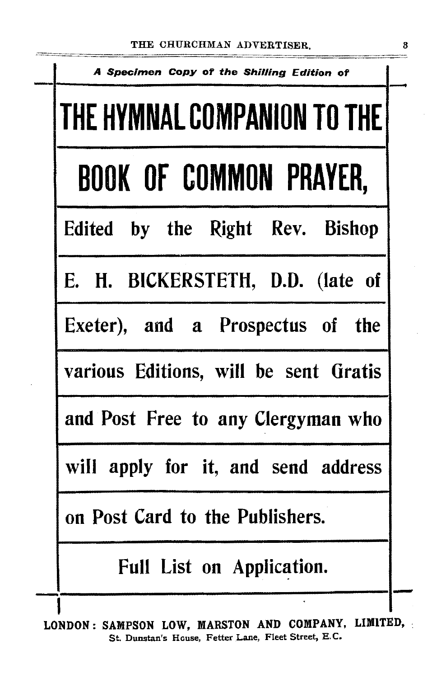| A Specimen Copy of the Shilling Edition of |
|--------------------------------------------|
| THE HYMNAL COMPANION TO THE                |
| <b>BOOK OF COMMON PRAYER,</b>              |
| Edited by the Right Rev. Bishop            |
| E. H. BICKERSTETH, D.D. (late of           |
| Exeter), and a Prospectus of the           |
| various Editions, will be sent Gratis      |
| and Post Free to any Clergyman who         |
| will apply for it, and send address        |
| on Post Card to the Publishers.            |
| <b>Full List on Application.</b>           |
|                                            |

LONDON: SAMPSON LOW, MARSTON AND COMPANY, LIMITED, St. Dunstan's House, Fetter Lane, Fleet Street, E. C.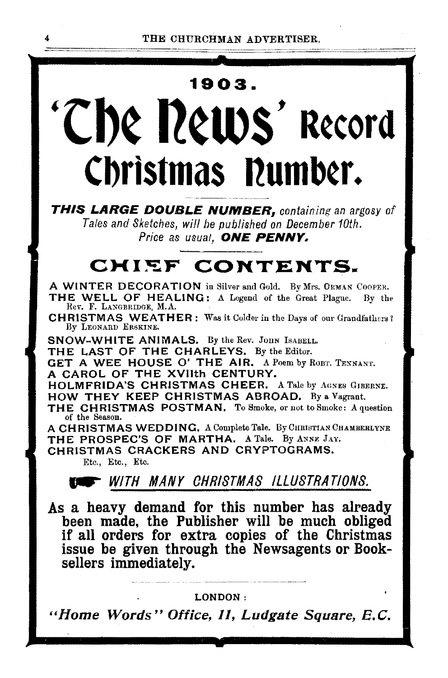# 1903. 'The news' record Christmas Dumber.

THIS LARGE DOUBLE NUMBER, containing an argosy of Tales and Sketches, will be published on December 10th. Price as usual. ONE PENNY.

## CHIEF CONTENTS.

A WINTER DECORATION in Silver and Gold. By Mrs. ORMAN COOPER. THE WELL OF HEALING: A Legend of the Great Plague. By the Rev. F. LANGBRIDGE, M.A.

**CHRISTMAS WEATHER:** Was it Colder in the Days of our Grandfathers? By LEONARD ERSKINE.

SNOW-WHITE ANIMALS. By the Rev. JOHN ISABELL.

THE LAST OF THE CHARLEYS. By the Editor.

GET A WEE HOUSE O' THE AIR. A Poem by ROBT. TENNANT. A CAROL OF THE XVIIth CENTURY.

**HOLMFRIDA'S CHRISTMAS CHEER.** A Tale by AGNES GIBERNE. HOW THEY KEEP CHRISTMAS ABROAD, By a Vagrant.

THE CHRISTMAS POSTMAN. To Smoke, or not to Smoke: A question of the Season.

A CHRISTMAS WEDDING, A Complete Tale. By CHRISTIAN CHAMBERLYNE THE PROSPEC'S OF MARTHA. A Tale. By ANNE JAY.

CHRISTMAS CRACKERS AND CRYPTOGRAMS. Etc., Etc., Etc.

## **EXECUTE:** WITH MANY CHRISTMAS ILLUSTRATIONS.

As a heavy demand for this number has already been made, the Publisher will be much obliged if all orders for extra copies of the Christmas issue be given through the Newsagents or Booksellers immediately.

## LONDON:

"Home Words" Office, 11, Ludgate Square, E.C.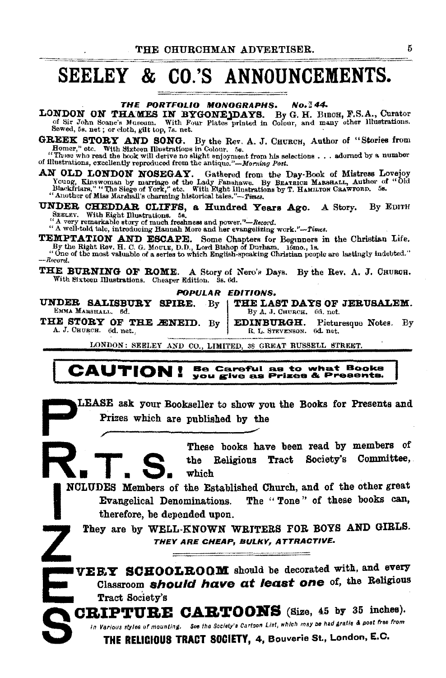## SEELEY & CO.'S ANNOUNCEMENTS.

THE PORTFOLIO MONOGRAPHS. No. 344.

LONDON ON THAMES IN BYGONE DAYS. By G. H. Buch, F.S.A., Curator of Sir John Soane's Museum. With Four Plates printed in Colour, and many other Illustrations. Sewed, 5s. net; or cloth, gilt top, 7s. net.

**GREEK STORY AND SONG.** By the Rev. A. J. CHURCH, Author of "Stories from Homer," otc. With Sixteen Illustrations in Colour. 5s.

nomer, out. with state and must natural in colour. os.<br>"Those who read the book will derive no slight enjoyment from his selections . . . adorned by a number of illustrations, excellently reproduced from the antique."—Morn

N OLD LONDON NOSEGAY. Gathered from the Day-Book of Mistress Lovejoy Young, Kinswoman by marriage of the Lady Fanshawe. By BEATRICE MARSHALL, Author of "Old Blackfriars," "The Siege of York," etc. With Eight Illustrations AN OLD LONDON NOSEGAY.

UNDER CHEDDAR CLIFFS, a Hundred Years Ago. A Story. By EDITH SEELEY. With Eight Illustrations. 5s.

" A very remarkable story of much freshness and power."--Record.<br>" A well-told tale, introducing Hannah More and her evangelizing work."--Times.

**TEMPTATION AND ESCAPE.** Some Chapters for Beginners in the Christian Life.<br>By the Right Rev. H. C. G. Moutr, D.D., Lord Bishop of Durham. 16mo., 1s.<br>"One of the most valuable of a series to which English-speaking Christia

-Record.

THE BURNING OF ROME. A Story of Nero's Days. By the Rev. A. J. CHURGH. With Sixteen Illustrations. Cheaper Edition. 3s. 6d.

**POPULAR EDITIONS.** 

THE LAST DAYS OF JERUSALEM. UNDER SALISBURY SPIRE.  $\cdot$  By EMMA MARSHALL. 6d. By A. J. CHURCH. 6d. net.

THE STORY OF THE ÆNEID. By **EDINBURGH.** Picturesque Notes. By A. J. CHURCH. 6d. net., R. L. STEVENSON. 6d. net.

LONDON: SEELEY AND CO., LIMITED, 38 GREAT RUSSELL STREET.

## Be Careful as to what Books<br>you give as Prizes & Presents. **CAUTION!**

LEASE ask your Bookseller to show you the Books for Presents and Prizes which are published by the

> These books have been read by members of Religious Tract Society's Committee, the  $\rm{which}$

NCLUDES Members of the Established Church, and of the other great The "Tone" of these books can, Evangelical Denominations. therefore, be depended upon.

They are by WELL-KNOWN WRITERS FOR BOYS AND GIRLS. THEY ARE CHEAP, BULKY, ATTRACTIVE.

**IVEEY SCHOOLEOOM** should be decorated with, and every Classroom should have at least one of, the Religious Tract Society's

CRIPTURE CARTOONS (Size, 45 by 35 inches). In Various styles of mounting. See the Society's Cartoon List, which may be had gratis & post free from

THE RELIGIOUS TRACT SOCIETY, 4, Bouverie St., London, E.C.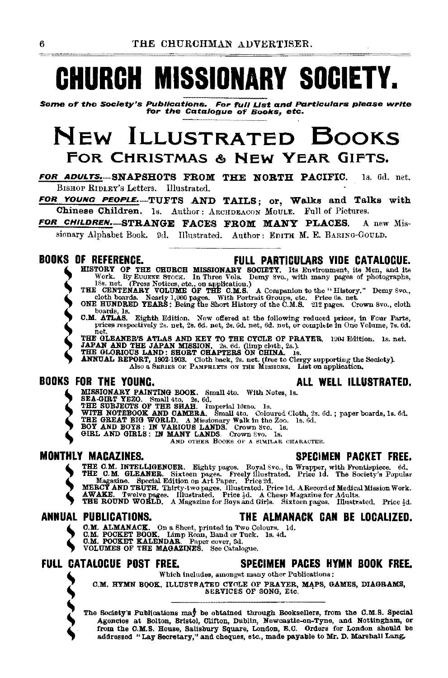# **CHURCH MISSIONARY SOCIETY.**

Some of' the Society's Publications. For f'ull List and Particulars please write f'or the Catalogue of' Books, etc.

## New ILLUSTRATED BooKs FOR CHRISTMAS & NEW YEAR GIFTS.

FOR ADULTS. SNAPSHOTS FROM THE NORTH PACIFIC. 1s. 6d. net. BISHOP RIDLEY's Letters. Illustrated.

FOR YOUNG PEOPLE. TUFTS AND TAILS; or, Walks and Talks with Chinese Children. 1s. Author: ARCHDEACON MOULE. Full of Pictures.

FOR CHILDREN. STRANGE FACES FROM MANY PLACES. A new Mis-

sionary Alphabet Book. 9d. Illustrated. Author: EDITH M. E. BARING-GOULD. -~--------

- **BUUKS UF REFERENCE.**<br> **EVILL PARTICULARS VIDE CATALOGUE.**<br>
WORK. BY EVICKE STOCK. In Three Vols. Demy Syo., with many pages of photographs,<br>
ISS. net. (Press Notices, etc., on application.)<br>
THE CENTENARY VOLUME OF THE C.
	-
	- Cloth boards. Nearly 1,000 pages. With Portrait Groups, etc. Price 6s. net. ONE HUNDRED YEARS; Being the Short History of the C.M.S. 212 pages. Crown 8vo., cloth

boards, Is. **ATLAS.** Eighth Edition. Now offered at the following reduced prices, in Four Parts, prices respectively 2s. net, 2s. 6d. net, 3a. 6d. net, 6d. net, or complete in One Volume, 7s. 6d.

- prices respectively 2s. net, 2s. 6d. net, 2s. 6d. net, 6d. net, or complete in One Volume, 7s. 6d.<br>THE GLEANER'S ATLAS AND KEY TO THE CYCLE OF PRAYER. 1904 Edition. 1s. net.<br>JAPAN AND THE JAPAN MISSION, 2s. 6d. (limp cloth
- 

IER GLORIOUS LAND: SHORT CHAPTERS ON CHINA. ls.<br>ANNUAL REPORT, 1902·1903. Cloth back, 2s. net. (free to Clergy supporting the Society).<br>Also a SERIES OF: PAMPRI.KTS ON THE MissiONS. List on application.

## BOOKS FOR THE YOUNG. ALL WELL ILLUSTRATED.

- 
- 
- 
- 
- 
- -

THE C.M. INTELLIGENCER. Eighty pages. Royal Svo., in Wrapper, with Frontispiece. 6d.<br>THE C.M. GLEANER. Sixteen pages. Freely Illustrated. Price 1d. The Society's Popular<br>MERCY AND TEUTH. Thirty-two pages. Illustrated. Pric

# **S**<br>
ALP
<sub>G</sub><br>
S
G

- ANNUAL PUBLICATIONS. THE ALMANACK CAN BE LOCALIZED.
	-
	- C.M. ALMANACK. On a Sheet, printed in Two Colours. 1d. C.M. POCKET BOOK. Limp Roan, Band or Tuck. 1s. 4d. C.M. POCKET BOOK. Limp Roan, Band or Tuck. 1s. 4d. VOLUMES OF THE MAGAZINES. See Catalogue.
		-

## FULL CATALOGUE POST FREE. SPECIMEN PAGES HYMN BOOK FREE.

Which includes, amongst many othet Publications :

O.M. HYMN BOOK, ILLUSTRATED CYOLE OF PRAYER, MAPS, GAMES, DIAGRAMS, SERVICES OF SONG, Etc.

C.M.<br>
The Son<br>
The Son<br>
Age<br>
from<br>
add The Society's Publications may be obtained through Booksellers, from the C.M.S. Special Agencies at Bolton, Bristol, Clifton, Dublin, Newcastle-on-Tyne, and Nottingham, or from the C.M.S. House, Salisbury Square, London, E.C. Orders for London should be addressed "Lay Secretary,'' and cheques, etc., made payable to Mr. D. Marshall Lang.

MONTHLY MAGAZINES. SPECIMEN PACKET FREE.

MISSIONARY PAINTING BOOK. Small 4to. With Notes, 1s.<br>
SEAGREY PAINTING BOOK. Small 4to. With Notes, 1s.<br>
THE SUBJECTS OF THE SHAH. Imperial 16mo. 1s.<br>
WITH NOTEBOOK AND CAMERA. Small 4to. Coloured Cloth, 2s. 6d.; paper boa



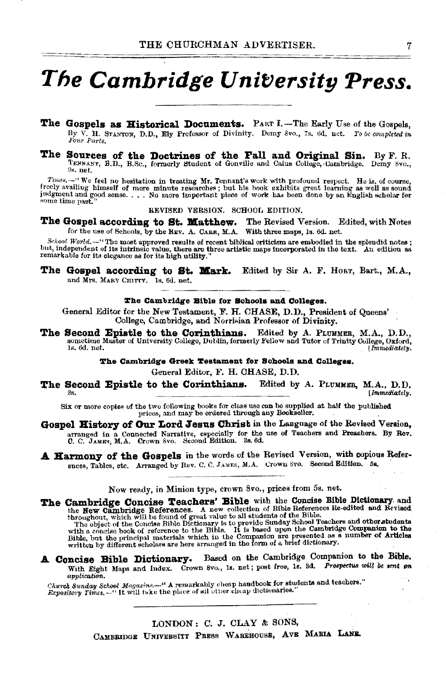## The Cambridge University Press.

- The Gospels as Historical Documents. PART I.—The Early Use of the Gospels. By V. H. STANTON, D.D., Ely Professor of Divinity. Demy 8vo., 7s. 6d. net. To be completed in
- The Sources of the Doctrines of the Fall and Original Sin. By F. R. TENNANT, B.D., B.Sc., formerly Student of Gonville and Caius College, Cambridge. Demy Svo., 9s. net.

Times......... We feel no hesitation in treating Mr. Tennant's work with profound respect. He is, of course, freely availing himself of more minute researches; but his book exhibits great learning as well as sound judgmen some time past.

### REVISED VERSION. SCHOOL EDITION.

The Gospel according to St. Matthew. The Revised Version. Edited, with Notes for the use of Schools, by the REV. A. CARR, M.A. With three maps, ls. 6d. net.

School World.—"The most approved results of recent biblical criticism are embodied in the splendid notes; but, independent of its intrinsic value, there are three artistic maps incorporated in the text. An edition as rema

The Gospel according to St. Mark. Edited by Sir A. F. HORT, Bart., M.A., and Mrs. MARY CHITTY. 1s, 6d. net.

### The Cambridge Bible for Schools and Colleges.

General Editor for the New Testament, F. H. CHASE, D.D., President of Queens' College, Cambridge, and Norrisian Professor of Divinity.

The Second Epistle to the Corinthians. Edited by A. PLUMMER, M.A., D.D., sometime Master of University College, Dublin, formerly Fellow and Tutor of Trinity College, Oxford, 1s. 6d. net. [Immediately,

### The Cambridge Greek Testament for Schools and Colleges.

General Editor, F. H. CHASE, D.D.

Edited by A. PLUMMER, M.A., D.D. The Second Epistle to the Corinthians. [Immediately.

Six or more copies of the two following books for class use can be supplied at half the published prices, and may be ordered through any Bookseller.

- Gospel History of Our Lord Jesus Christ in the Language of the Revised Version. arranged in a Connected Narrative, especially for the use of Teachers and Preschors. By Rev. C. C. JAMES, M.A. Crown 8vo. Second Edition. 3s. 6d.
- A Harmony of the Gospels in the words of the Revised Version, with copious References, Tables, etc. Arranged by Rev. C. C. JAMES, M.A. Crown Svo. Second Edition. 5s.

Now ready, in Minion type, crown 8vo., prices from 5s. net.

The Cambridge Concise Teachers' Bible with the Concise Bible Dictionary and **CALUBUSE COLORES A SECURETS EDDIC** with the **New Columbary**. And the **New Cambridge References.** A new collection of Bible References Re-edited and Revised throughout, which will be found of great value to all students o

Based on the Cambridge Companion to the Bible. A Concise Bible Dictionary. With Eight Maps and Index. Crown 8vo., Is. net; post free, Is. 3d. Prospectus will be sent on application.

Church Sunday School Magazine.-" A remarkably cheap handbook for students and teachers." Expository Times. ....... It will take the place of all other chap dictionaries.

> LONDON: C. J. CLAY & SONS, CAMBRIDGE UNIVERSITY PRESS WAREHOUSE, AVE MARIA LANE.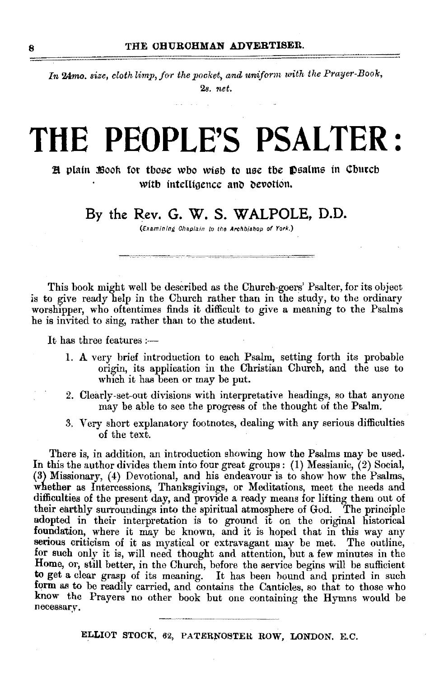In 24mo. size, cloth limp, for the pocket, and uniform with the Prayer-Book, 2s. *net.* 

# **THE PEOPLE'S PSALTER** :

**H** plain *fisook* for those who wish to use the **p**salms in Cburch with intelligence and devotion.

## By the Rev. **G.** W. S. **WALPOLE, D.D.**

(Examining Chaplain to tho Archb/ahop of York.)

This book might well be described as the Church-goers' Psalter, for its object is to give ready help in the Church rather than in the study, to the ordinary worshipper, who oftentimes finds it difficult to give a meaning to the Psalms he is invited to sing, rather than to the student.

It has three features :---

- 1. A very brief introduction to each Psalm, setting forth its probable origin, its application in the Christian Church, and the use to which it has been or may be put.
- 2. Clearly-set-out divisions with interpretative headings, so that anyone may be able to see the progress of the thought of the Psalm.
- 3. Very short explanatory footnotes, dealing with any serious difficulties of the text.

There is, in addition, an introduction showing how the Psalms may be used. In this the author divides them into four great groups: (I) Messianic, (2) Social, (3) Missionary, (4) Devotional, and his endeavour is to show how the Psalms, whether as Intercessions, Thanksgivings, or Meditations, meet the needs and difficulties of the present day, and provide a ready means for lifting them out of their earthly surroundings into the spiritual atmosphere of God. The principle adopted in their interpretation is to ground it on the original historical foundation, where it may be known, and it is hoped that in this way any serious criticism of it as mystical or extravagant may be met. The outline, for such only it is, will need thought and attention, but a few minutes in the Home, or, still better, in the Church, before the service begins will be sufficient to get a clear grasp of its meaning. It has been bound and printed in such form as to be readily carried, and contains the Canticles, so that to those who know the Prayers no other book but one containing the Hymns would be necessary.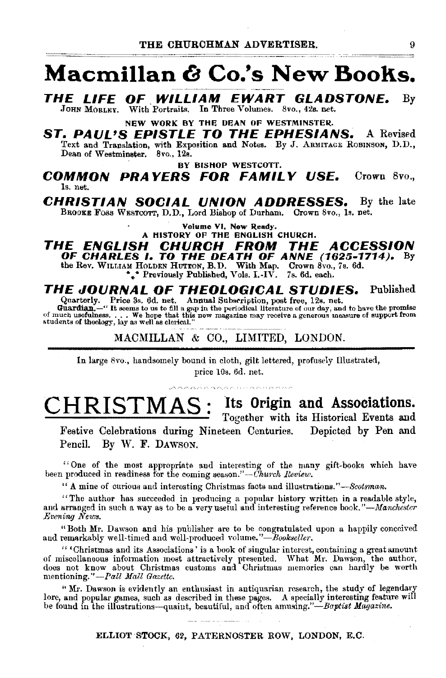## **Macmillan & Co.'s New Books.**

**THE LIFE OF WILLIAM EWART GLADSTONE.** By JOHN MORLEY. With Portraits. In Three Volumes. 8vo., 42s. net.

NEW WORK BY THE DEAN OF WESTMINSTER.

**ST. PAUL'S EPISTLE TO THE EPHESIANS.** A Revised Text and Translation, with Exposition and Notes. By J. ARMITAGE ROBINSON, D.D., Dean of Westminster. 8vo., 12s.

BY BISHOP WESTCOTT.

**COMMON PRAYERS FOR FAMILY USE.** Crown 8vo., ls. net.

**CHRISTIAN SOCIAL UNION ADDRESSES.** By the late BROOKE FOSS WESTCOTT, D.D., Lord Bishop of Durham. Crown 8vo., 1s. net.

Volume VI. Now Ready.

## A HISTORY OF THE ENGLISH CHURCH.<br>**THE ENGLISH CHURCH FROM THE THE ENGLISH CHURCH FROM THE ACCESSION OF CHARLES 1. TO THE DEATH OF ANNE (1625-1714).** By the Rev. WILLIAM HOLDEN HUTION, B.D. With Map. Crown 8vo., 7s. 6d. .

## **THE JOURNAL OF THEOLOGICAL STUDIES.** Published

Quarterly. Price 3s. 6d. net. Annual Subscription, post free, 12s. net.<br>Guardian. --" It seems to us to fill a gap in the periodical literature of our day, and to have the promise<br>of much usefulness..... We hope that this

MACMILLAN & CO., LIMITED, LONDON.

In large 8vo., handsomely bound in cloth, gilt lettered, profusely Illustrated, price lOs. 6d. net.

## **CHRISTMAS: Jts Origin and Associations.**  Together with its Historical Events and

Festive Celebrations during Nineteen Centuries. Depicted by Pen and Pencil. By W. F. DAWSON.

"One of the most appropriate and interesting of the many gift-books which have been produced in readiness for the coming season."-Church Review.

"A mine of curious and interesting Christmas facts and illustrations."-Scotsman.

"The author has succeeded in producing a popular history written in a readable style, and arranged in such a way as to be a very useful and interesting reference book."-Manchester *Evening News.* 

"Both Mr. Dawson and his publisher are to be congratulated upon a happily conceived and remarkably well-timed and well-produced volume."-Bookseller,

'' 'Christmas and its Associations' is a book of singular interest, containing a great amount of miscellaneous information most attractively presented. What Mr. Dawson, the author, does not know about Christmas customs and Christmas memories can hardly be worth mentioning."-Pall Mall Gazette.

"Mr. Dawson is evidently an enthusiast in antiquarian research, the study of legendary lore, and popular games, such as described in these pages. A specially interesting feature will be found in the illustrations-quaint, beautiful, and often amusing."-Baptist Magazine.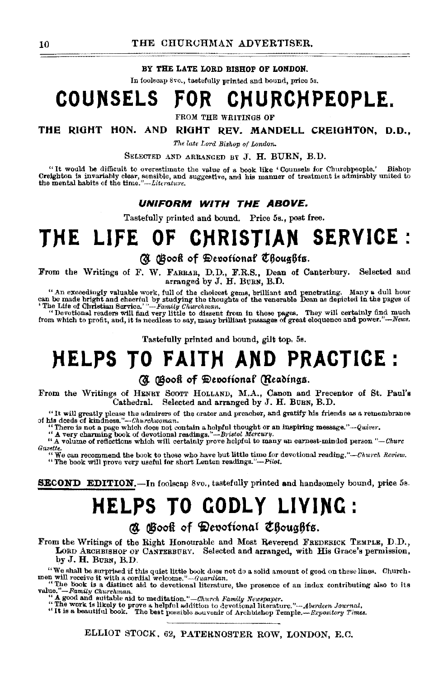BY THE LATE LORD RISHOP OF LONDON.

In foolscap 8vo., tastefully printed and bound, price 5s.

#### **COUNSELS** CHURCHPEOPLE. FOR

FROM THE WRITINGS OF

THE RIGHT HON. AND RIGHT REV. MANDELL CREIGHTON, D.D.,

The late Lord Bishop of London.

SELECTED AND ARRANGED BY J. H. BURN, B.D.

"It would be difficult to overestimate the value of a book like 'Counsels for Churchpeople.' Bishop Creighton is invariably clear, sensible, and suggestive, and his manner of treatment is admirably united to the mental habits of the time."—Literature.

## UNIFORM WITH THE ABOVE.

Tastefully printed and bound. Price 5s., post free.

## CHRISTIAN SERVICE : THE LIFE OF

## **(R)** (Book of Devotional Choughts.

From the Writings of F. W. FARRAR, D.D., F.R.S., Dean of Canterbury. Selected and arranged by J. H. BURN, B.D.

"An exceedingly valuable work, full of the choicest gems, brilliant and penetrating. Many a dull hour can be made bright and cheerful by studying the thoughts of the venerable Dean as depicted in the pages of 'The Life of

"Devotional readers will find very little to dissent from in these pages. They will certainly find much from which to profit, and, it is needless to say, many brilliant passages of great eloquence and power."—News.

Tastefully printed and bound, gilt top. 5s.

## HELPS TO FAITH AND PRACTICE:

## (N Gook of Depotional (Readings.

From the Writings of HENRY SCOTT HOLLAND, M.A., Canon and Precentor of St. Paul's Cathedral. Selected and arranged by J. H. BURN, B.D.

"It will greatly please the admirers of the orator and preacher, and gratify his friends as a remembrance of his deeds of kindness." $-ch$ urchuoman.

his deeds of kindness."--Churchwoman.<br>"There is not a page which does not contain a helpful thought or an inspiring message."--Quiver.<br>"A very charming book of devotional readings."--Bristol Mercury.<br>"A volume of reflectio Gazette.

 $\lq$ We can recommend the book to those who have but little time for devotional reading,"--Church Review. "The book will prove very useful for short Lenten readings."-Pilot.

**SECOND EDITION.**—In foolscap 8vo., tastefully printed and handsomely bound, price 5s.

# **HELPS TO GODLY LIVING:**

**a Book of Devotional Chouahts.** 

From the Writings of the Right Honourable and Most Reverend FREDERICK TEMPLE, D.D., LORD ARCHBISHOP OF CANTERBURY. Selected and arranged, with His Grace's permission, by J. H. BURN, B.D.

"We shall be surprised if this quiet little book does not do a solid amount of good on these lines. Churchmen will receive it with a cordial welcome."—Guardian.

"The book is a distinct aid to devotional literature, the presence of an index contributing also to its value."—Family Churchman.<br>
"A good and suitable aid to meditation."—Church Family Newspaper.<br>
"A good and suitable aid to meditation."—Church Family Newspaper.<br>
"The work is likely to prove a helpful addition to devotional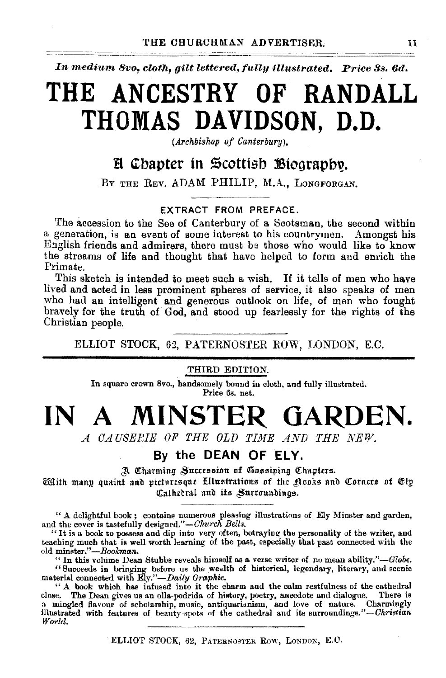In medium 8vo. cloth, gilt lettered, fully illustrated. Price 3s, 6d.

# THE ANCESTRY OF RANDALL THOMAS DAVIDSON, D.D.

(Archbishop of Canterbury).

## H Chapter in Scottish Biography.

BY THE REV. ADAM PHILIP, M.A., LONGFORGAN.

## EXTRACT FROM PREFACE.

The accession to the See of Canterbury of a Scotsman, the second within a generation, is an event of some interest to his countrymen. Amongst his English friends and admirers, there must be those who would like to know the streams of life and thought that have helped to form and enrich the Primate

This sketch is intended to meet such a wish. If it tells of men who have lived and acted in less prominent spheres of service, it also speaks of men who had an intelligent and generous outlook on life, of men who fought bravely for the truth of God, and stood up fearlessly for the rights of the Christian people.

ELLIOT STOCK, 62, PATERNOSTER ROW, LONDON, E.C.

## THIRD EDITION.

In square crown 8vo., handsomely bound in cloth, and fully illustrated. Price 6s. net.

## MINSTER GARDEN.  $INA$

A CAUSERIE OF THE OLD TIME AND THE NEW.

## By the DEAN OF ELY.

A Charming Succession of Gossiping Chapters.

With many quaint and picturesque Ellustrations of the Nooks and Corners of Ely Cathedral and its Surroundings.

" A delightful book; contains numerous pleasing illustrations of Ely Minster and garden, and the cover is tastefully designed."—Church Bells.<br>"It is a book to possess and dip into very often, betraying the personality of teaching much that is well worth learning of the past, especially that past connected with the old minster."-Bookman.

" In this volume Dean Stubbs reveals himself as a verse writer of no mean ability."--Globe. "Succeeds in bringing before us the wealth of historical, legendary, literary, and seenic<br>material connected with Ely."—Daily Graphic.

"A book which has infused into it the charm and the calm restfulness of the cathedral close. The Dean gives us an olla-podrida of history, poetry, anecdote and dialogue. There is a mingled flavour of scholarship, music, antiquarianism, and love of nature. Charmingly illustrated with features of beauty-spots of the cathedral and its surroundings."-Christian World.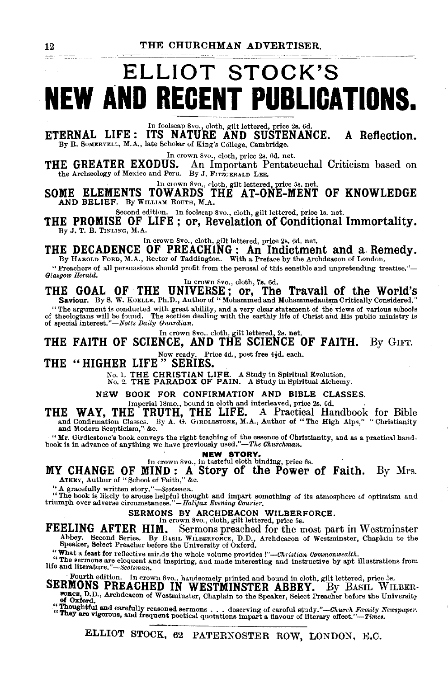# ELLIOT STOCK'S **NEW AND RECENT PUBLICATIONS.**

ETERNAL LIFE :  $\overline{INS}$  NATURE AND SUSTENANCE. A Reflection. By R. SOMERVELL, M.A., late Scholar of King's College, Cambridge.

In crown 8vo., cloth, price 2s. 6d. net.<br>THE GREATER EXODUS. An Important Pentate **IE GREATER EXODUS.** An Important Pentateuchal Criticism based on the Archaeology of Mexico and Peru, By J. FITZGERALD LEE.

In crown Svo., cloth, gilt lettered, price 5s. net.<br>SOME ELEMENTS TOWARDS THE AT-ONE-MENT OF KNOWLEDGE<br>AND BELIEF. By WILLIAM ROUTH, M.A.

Second edition. ln foolscap Svo., cloth, gilt lettered, price Is. net. THE PROMISE OF LIFE; or, Revelation of Conditional Immortality.

By J. T. B. TINLING, M.A.

In crown Svo., cloth, gilt lettered, price 2s. 6d. net.

## THE DECADENCE OF PREACHING: An Indictment and a. Remedy. By HAROLD FORD, M.A., Rector of Taddington. With a Preface by the Archdeacon of London.

"Preachers of all persuasions should profit from the perusal of this sensible and unpretending treatise."- *Glasgow Herald.* In crown Svo., cloth, 7s. 6d.

THE GOAL OF THE UNIVERSE; or, The Travail of the World's Saviour. By S. W. KoELLE, Ph.D., Author of" Mohammed and Mohammedanism Critically Considered."

"The argument is conducted with great ability, and a very clear statement of the views of various schools of theologians will be found. The section dealing with the earthly life of Christ and His public ministry is of spe

In crown 8vo.. cloth, gilt lettered, 2s. net.

THE FAITH OF SCIENCE, AND THE SCIENCE OF FAITH. By GIFT.

Now ready. Price 4d., post free 44d. each.<br>THE "HIGHER LIFE" SERIES.

No. 1. THE CHRISTIAN LIFE. A Study in Spiritual Evolution.<br>No. 2. THE PARADOX OF PAIN. A 8tudy in Spiritual Alchemy.

NEW BOOK FOR CONFIRMATION AND BIBLE CLASSES.

Imperial 18mo., bound in cloth and interleaved, price 2s. 6d.

THE WAY, THE TRUTH, THE LIFE. A Practical Handbook for Bible and Confirmation Classes. By A. G. GIRDLESTONE, M.A., Author of "The High Alps," "Christianity and Modern Scepticism," &c.

" Mr. Girdlestonc's book conveys the right teaching of the essence of Christianity, and as a practical hand- book is in advance of anything we have previously used."—The Churchman.

NEW STORY.<br>In crown 8vo., in tasteful cloth binding, price 6s.

MY CHANGE OF MIND: A Story of the Power of Faith. By Mrs. ATKEY, Authur of "School of Faith," &c.

"A gracefully written story."--Scotsman. <br>" The book is likely to arouse helpful thought and impart something of its atmosphere of optimism and triumph over adverse circumstances."-Halijax Evening Courier.

SERMONS BY ARCHDEACON WILBERFORCE.<br>
In crown 8vo., cloth, gilt lettered, price 5s.<br>
FEELING AFTER HIM. Sermons preached for the most pa Sermons preached for the most part in Westminster Abbey. Second Series. By B•srL WILBERFORCE, D.D., Archdeacon of Westminster, Chaplain to the Speaker, Select Preacher before the University of Oxford.

"What a feast for reflective mir.ds the whole volume provides *!"-Christian Commonwealth*.

The sermons are elocitive minds the whole volume provides:  $-$ the setune commentations from the sermons are eloquent and inspiring, and made interesting and instructive by apt illustrations from life and literature." -Scot

Fourth edition.

Fourth edition. In crown 8vo., handsomely printed and bound in cloth, gilt lettered, price 5s.<br>SERMONS PREACHED IN WESTMINSTER ABBEY. By BASIL WILBER-FORCE, D.D., Archdeacon of Westminster, Chaplain to the Speaker, Select Preacher before the University

:: ~oughtful and carefully reasoned sermons ... deserving of carefulstudy."-Church *Family Newspaper.* ey are vigorous, and frequent poetical quotations impart a flavour of literary effect. *"-Times.*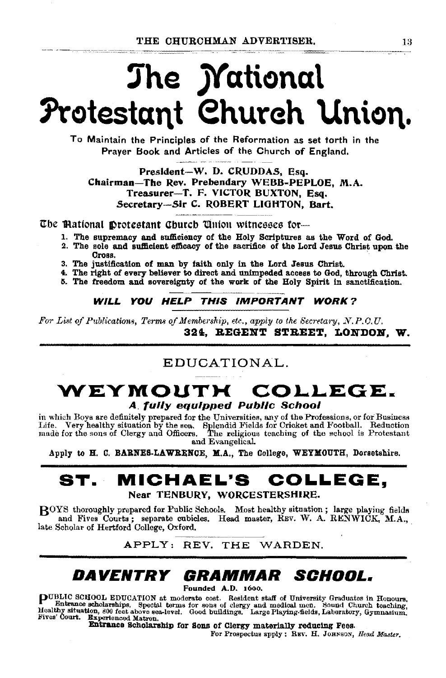# The National Protestant Church Union.

To Maintain the Principles of the Reformation as set torth in the Praver Book and Articles of the Church of England.

President-W. D. CRUDDAS, Esq. Chairman-The Rev. Prebendary WEBB-PEPLOE. M.A. Treasurer-T. F. VICTOR BUXTON, Esq. Secretary-Sir C. ROBERT LIGHTON, Bart,

The Mational Drotestant Church Union witnesses for—

- 1. The supremacy and sufficiency of the Holy Scriptures as the Word of God.
- 2. The sole and sufficient efficacy of the sacrifice of the Lord Jesus Christ upon the Cross.
- 3. The justification of man by faith only in the Lord Jesus Christ.
- 4. The right of every believer to direct and unimpeded access to God, through Christ.
- 5. The freedom and sovereignty of the work of the Holy Spirit in sanctification.

## WILL YOU HELP THIS IMPORTANT WORK?

For List of Publications, Terms of Membership, etc., apply to the Secretary, N.P.C.U. 324. REGENT STREET, LONDON. W.

## EDUCATIONAL.

## WEYMOUTH COLLEGE. **A fully equipped Public School**

in which Boys are definitely prepared for the Universities, any of the Professions, or for Business Life. Very healthy situation by the sea. Splendid Fields for Cricket and Football. Reduction made for the sons of Clergy and Officers. The religious teaching of the school is Protestant and Evangelical.

Apply to H. C. BARNES-LAWRENCE, M.A., The College, WEYMOUTH, Dorsetshire.

#### MICHAEL'S COLLEGE. ST. Near TENBURY, WORCESTERSHIRE.

ROYS thoroughly prepared for Public Schools. Most healthy situation; large playing fields and Fives Courts; separate cubicles. Head master, REV. W. A. RENWICK, M.A., late Scholar of Hertford College, Oxford.

APPLY: REV. THE WARDEN.

### DAVENTRY GRAMMAR SCHOOL.

Founded A.D. 1600.

PUBLIC SCHOOL EDUCATION at moderate cost. Resident staff of University Graduates in Honours, Healthnee scholarships. Special terms for sons of clergy and medical men. Sound Church teaching, Healthy situation, 800 feet abov

Entrance Scholarship for Sons of Clergy materially reducing Fees.

For Prospectus apply : REV. H. JOHNSON, Head Master.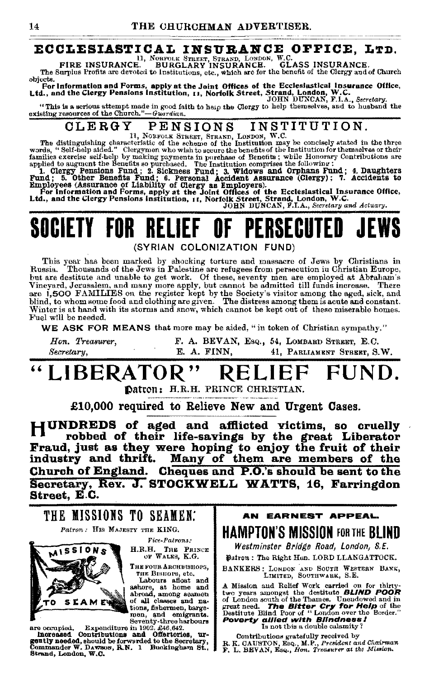# **ECCLESIASTICAL INSURANCE OFFICE, LTD.**<br>FIRE INSURANCE. BURGLARY INSURANCE. GLASS INSURANCE.

The Surplus Profits are devoted to Institutions, etc., which are for the benefit of the Clergy and of Church objects.

onjects.<br>For Information and Forms, apply at the Joint Offices of the Ecclesiastical Insurance Office,<br>Ltd., and the Clergy Pensions Institution, 11, Norfolk Street, Strand, London, W.C.<br>JOHN DUNCAN, F.I.A., Secretary.

"This is a serious attempt made in good faith to help the Clergy to help themselves, and to husband the existing resources of the Church."-Guardian.

#### INSTITUTION. CLERGY PENSIONS

The distinguishing characteristic of the scheme of the Institution may be concisely stated in the three<br>words, "Self-help aided." Clergymen who wish to secure the benefits of the Institution for themselves or their<br>words,

words, "Self-help aided." Clergymen who wish to secure the benefits of the Institution for themselves or their<br>amilies exercise self-help by making payments in purchase of Benefits, while Honorary Contributions are<br>applied

## PERSERI SOCIETY FOR RELIFF

(SYRIAN COLONIZATION FUND)

This year has been marked by shocking torture and massacre of Jews by Christians in Thousands of the Jews in Palestine are refugees from persecution in Christian Europe, Russia. but are destitute and unable to get work. Of these, seventy men are employed at Abraham's<br>Vineyard, Jerusalem, and many more apply, but cannot be admitted till funds increase. There<br>are 1,500 FAMILIES on the register kept Winter is at hand with its storms and snow, which cannot be kept out of these miserable homes. Fuel will be needed.

WE ASK FOR MEANS that more may be aided, "in token of Christian sympathy."

Hon. Treasurer. F. A. BEVAN, Esq., 54, LOMBARD STREET, E.C. Secretary, E. A. FINN. 41. PARLIAMENT STREET. S.W.

### LIBERATOR" FUND. RELIEF

Datron: H.R.H. PRINCE CHRISTIAN.

£10,000 required to Relieve New and Urgent Cases.

HUNDREDS of aged and afflicted victims, so cruelly robbed of their life-savings by the great Liberator Fraud, just as they were hoping to enjoy the fruit of their industry and thrift. Many of them are members of the Church of England. Cheques and P.O.'s should be sent to the Secretary, Rev. J. STOCKWELL WATTS, 16, Farringdon Street. E.C.



are occupied. Expenditure in 1902, 246, 642.<br>Increased Contributions and Offertories, urgently needed, should be forwarded to the Secretary,<br>Commander W. Davisos, R.N. 1 Buckingham St.,<br>Strand, London, W.C.

AN EARNEST APPEAL **HAMPTON'S MISSION FOR THE BLIND** 

Westminster Bridge Road, London, S.E.

Datron: The Right Hon. LORD LLANGATTOCK.

BANKERS: LONDON AND SOUTH WESTERN BANK, LIMITED, SOUTHWARK, S.E.

A Mission and Relief Work carried on for thirty two years amongst the destitute BLIND POOR of London south of the Thames. Unendowed and in great need. The Bitter Cry for Help of the<br>Destitute Blind Poor of "London over the Border." Poverty allied with Blindness!

Contributions gratefully received by R. R. GAUSTON, Esq., M.P., President and Chairman F. L. BEVAN, Esq., Hon. Treasurer at the Mission.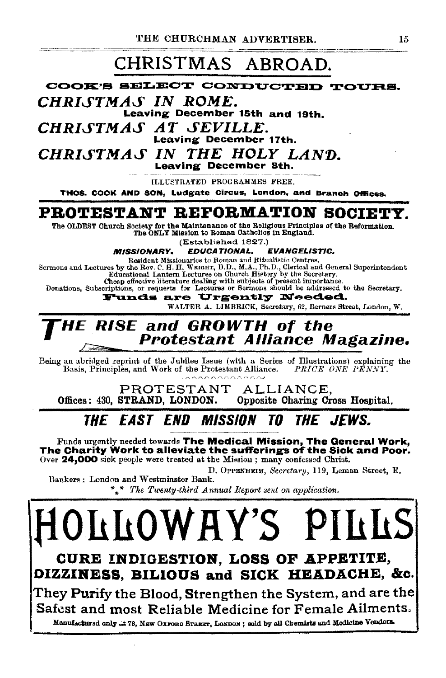## CHRISTMAS ABROAD.

COOK'S SELECT CONDUCTED TOURS. CHRISTMAS IN ROME. Leaving December 15th and 19th. CHRISTMAS AT SEVILLE. **Leaving December 17th.** CHRISTMAS IN THE HOLY LAND. Leaving December 8th.

**ILLUSTRATED PROGRAMMES FREE.** 

THOS. COOK AND SON. Ludgate Circus, London, and Branch Offices.

## PROTESTANT REFORMATION SOCIETY.

The OLDEST Church Society for the Maintenance of the Religious Principles of the Reformation. The ONLY Mission to Roman Catholics in England.

(Established 1827.)

**MISSIONARY. EDUCATIONAL. EVANGELISTIC.** 

Resident Missionaries to Roman and Ritualistic Centres. Sermons and Lectures by the Rev. C. H. H. WRIGHT, D.D., M.A., Ph.D., Clerical and General Superintendent Educational Lantern Lectures on Church History by the Secretary.

Cheap effective literature dealing with subjects of present importance.<br>Donations, Subscriptions, or requests for Lectures or Sermons should be addressed to the Secretary.

Funds are Urgently Needed.

WALTER A. LIMBRICK, Secretary, 62, Berners Street, London, W.

## **RISE and GROWTH of the Protestant Alliance Magazine.**

Being an abridged reprint of the Jubilee Issue (with a Series of Illustrations) explaining the Basis, Principles, and Work of the Protestant Alliance. PRICE ONE PENNY.

PROTESTANT ALLIANCE. Offices: 430. STRAND. LONDON. Opposite Charing Cross Hospital.

#### THE EAST END MISSION TN *THE JEWS.*

Funds urgently needed towards The Medical Mission, The General Work, The Charity Work to alleviate the sufferings of the Sick and Poor. Over 24,000 sick people were treated at the Mission; many confessed Christ.

D. OPPENHEIM, Secretary, 119, Leman Street, E. Bankers: London and Westminster Bank.

\*\* The Twenty-third Annual Report sent on application.

OLLOWAY'S PI CURE INDIGESTION, LOSS OF APPETITE, OIZZINESS, BILIOUS and SICK HEADACHE, &c.

They Purify the Blood, Strengthen the System, and are the Safest and most Reliable Medicine for Female Ailments. Manufactured only .: 178, NEW OXFORD STREET, LONDON; sold by all Chemists and Medicine Vendors.

15